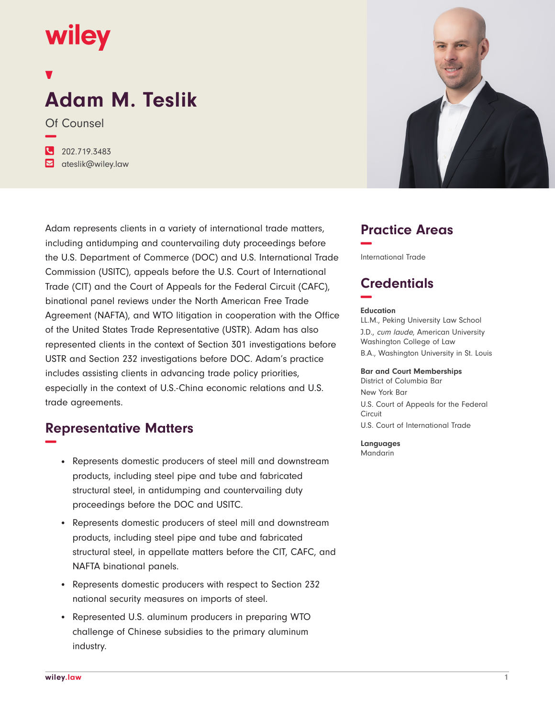## wiley

# **Adam M. Teslik**

Of Counsel **−**

**�** 202.719.3483 **�** ateslik@wiley.law

Adam represents clients in a variety of international trade matters, including antidumping and countervailing duty proceedings before the U.S. Department of Commerce (DOC) and U.S. International Trade Commission (USITC), appeals before the U.S. Court of International Trade (CIT) and the Court of Appeals for the Federal Circuit (CAFC), binational panel reviews under the North American Free Trade Agreement (NAFTA), and WTO litigation in cooperation with the Office of the United States Trade Representative (USTR). Adam has also represented clients in the context of Section 301 investigations before USTR and Section 232 investigations before DOC. Adam's practice includes assisting clients in advancing trade policy priorities, especially in the context of U.S.-China economic relations and U.S. trade agreements.

## **Representative Matters −**

- Represents domestic producers of steel mill and downstream products, including steel pipe and tube and fabricated structural steel, in antidumping and countervailing duty proceedings before the DOC and USITC.
- Represents domestic producers of steel mill and downstream products, including steel pipe and tube and fabricated structural steel, in appellate matters before the CIT, CAFC, and NAFTA binational panels.
- Represents domestic producers with respect to Section 232 national security measures on imports of steel.
- Represented U.S. aluminum producers in preparing WTO challenge of Chinese subsidies to the primary aluminum industry.



## **Practice Areas −**

International Trade

## **Credentials −**

#### **Education**

LL.M., Peking University Law School J.D., cum laude, American University Washington College of Law B.A., Washington University in St. Louis

#### **Bar and Court Memberships**

District of Columbia Bar New York Bar U.S. Court of Appeals for the Federal Circuit U.S. Court of International Trade

**Languages** Mandarin